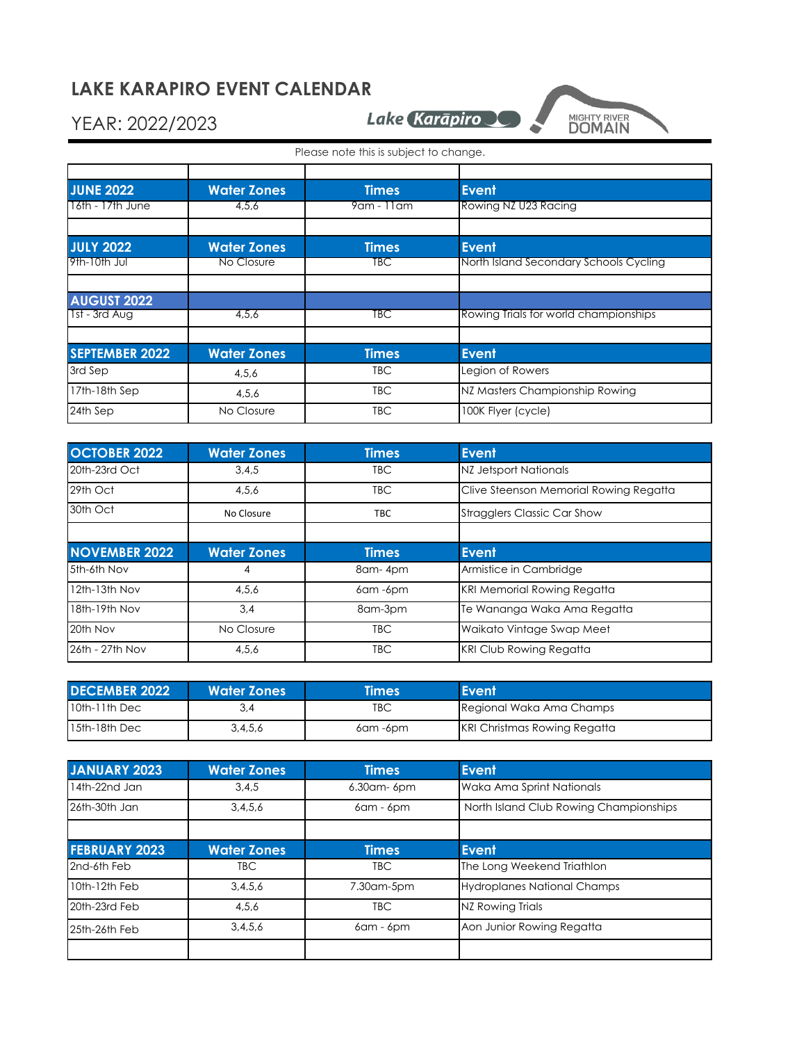## **LAKE KARAPIRO EVENT CALENDAR**

## YEAR: 2022/2023

Lake Karāpiro



Please note this is subject to change.

| <b>JUNE 2022</b>      | <b>Water Zones</b> | <b>Times</b> | <b>Event</b>                           |
|-----------------------|--------------------|--------------|----------------------------------------|
| 16th - 17th June      | 4,5,6              | 9am - 11am   | Rowing NZ U23 Racing                   |
|                       |                    |              |                                        |
| <b>JULY 2022</b>      | <b>Water Zones</b> | <b>Times</b> | <b>Event</b>                           |
| 9th-10th Jul          | No Closure         | TBC .        | North Island Secondary Schools Cycling |
|                       |                    |              |                                        |
| <b>AUGUST 2022</b>    |                    |              |                                        |
| 1st - 3rd Aug         | 4,5,6              | TBC          | Rowing Trials for world championships  |
|                       |                    |              |                                        |
| <b>SEPTEMBER 2022</b> | <b>Water Zones</b> | <b>Times</b> | <b>Event</b>                           |
| 3rd Sep               | 4,5,6              | <b>TBC</b>   | Legion of Rowers                       |
| 17th-18th Sep         | 4,5,6              | <b>TBC</b>   | NZ Masters Championship Rowing         |
| 24th Sep              | No Closure         | <b>TBC</b>   | 100K Flyer (cycle)                     |

| <b>OCTOBER 2022</b>  | <b>Water Zones</b> | <b>Times</b>   | <b>Event</b>                           |
|----------------------|--------------------|----------------|----------------------------------------|
| 20th-23rd Oct        | 3,4,5              | <b>TBC</b>     | NZ Jetsport Nationals                  |
| 29th Oct             | 4,5,6              | <b>TBC</b>     | Clive Steenson Memorial Rowing Regatta |
| 30th Oct             | No Closure         | <b>TBC</b>     | <b>Stragglers Classic Car Show</b>     |
|                      |                    |                |                                        |
| <b>NOVEMBER 2022</b> | <b>Water Zones</b> | <b>Times</b>   | Event                                  |
| 5th-6th Nov          |                    | 8am-4pm        | Armistice in Cambridge                 |
| 12th-13th Nov        | 4,5,6              | $6$ am $-6$ pm | <b>KRI Memorial Rowing Regatta</b>     |
| 18th-19th Nov        | 3.4                | 8am-3pm        | Te Wananga Waka Ama Regatta            |
| 20th Nov             | No Closure         | <b>TBC</b>     | Waikato Vintage Swap Meet              |
| 26th - 27th Nov      | 4,5,6              | <b>TBC</b>     | <b>KRI Club Rowing Regatta</b>         |

| <b>DECEMBER 2022</b> | <b>Water Zones</b> | <b>limes</b> | Event                               |
|----------------------|--------------------|--------------|-------------------------------------|
| $10th-11th$ Dec      |                    | TBC          | Regional Waka Ama Champs            |
| $115th-18th$ Dec     | 3,4,5,6            | 6am -6pm     | <b>KRI Christmas Rowing Regatta</b> |

| JANUARY 2023         | <b>Water Zones</b> | <b>Times</b>    | <b>Event</b>                           |
|----------------------|--------------------|-----------------|----------------------------------------|
| 14th-22nd Jan        | 3,4,5              | 6.30am-6pm      | Waka Ama Sprint Nationals              |
| 26th-30th Jan        | 3,4,5,6            | $6$ am - $6$ pm | North Island Club Rowing Championships |
|                      |                    |                 |                                        |
| <b>FEBRUARY 2023</b> | <b>Water Zones</b> | <b>Times</b>    | <b>Event</b>                           |
| 2nd-6th Feb          | <b>TBC</b>         | TBC.            | The Long Weekend Triathlon             |
| 10th-12th Feb        | 3.4.5.6            | 7.30am-5pm      | <b>Hydroplanes National Champs</b>     |
| 20th-23rd Feb        | 4,5,6              | <b>TBC</b>      | NZ Rowing Trials                       |
| 25th-26th Feb        | 3,4,5,6            | $6$ am - $6$ pm | Aon Junior Rowing Regatta              |
|                      |                    |                 |                                        |